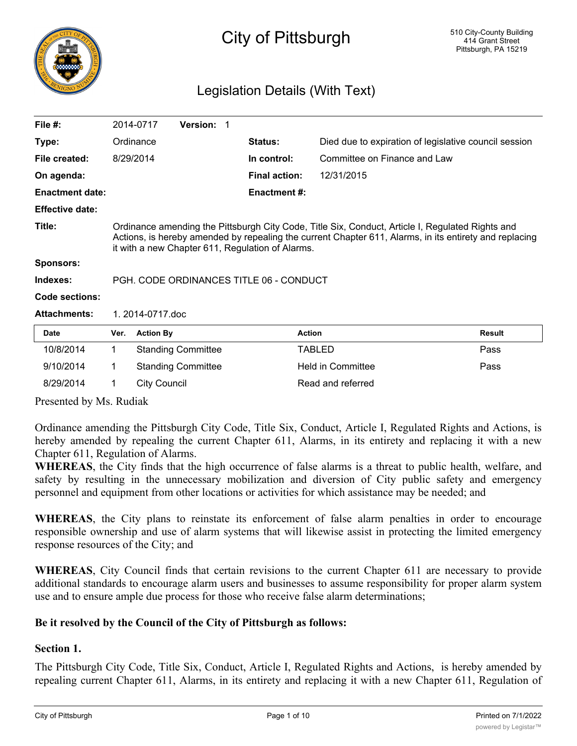

# City of Pittsburgh

# Legislation Details (With Text)

| File $#$ :             |                                                                                                                                                                                                                                                                | 2014-0717        | Version: 1                |  |                      |                                                       |        |
|------------------------|----------------------------------------------------------------------------------------------------------------------------------------------------------------------------------------------------------------------------------------------------------------|------------------|---------------------------|--|----------------------|-------------------------------------------------------|--------|
| Type:                  |                                                                                                                                                                                                                                                                | Ordinance        |                           |  | <b>Status:</b>       | Died due to expiration of legislative council session |        |
| File created:          |                                                                                                                                                                                                                                                                | 8/29/2014        |                           |  | In control:          | Committee on Finance and Law                          |        |
| On agenda:             |                                                                                                                                                                                                                                                                |                  |                           |  | <b>Final action:</b> | 12/31/2015                                            |        |
| <b>Enactment date:</b> |                                                                                                                                                                                                                                                                |                  |                           |  | <b>Enactment #:</b>  |                                                       |        |
| <b>Effective date:</b> |                                                                                                                                                                                                                                                                |                  |                           |  |                      |                                                       |        |
| Title:                 | Ordinance amending the Pittsburgh City Code, Title Six, Conduct, Article I, Regulated Rights and<br>Actions, is hereby amended by repealing the current Chapter 611, Alarms, in its entirety and replacing<br>it with a new Chapter 611, Regulation of Alarms. |                  |                           |  |                      |                                                       |        |
| <b>Sponsors:</b>       |                                                                                                                                                                                                                                                                |                  |                           |  |                      |                                                       |        |
| Indexes:               | PGH, CODE ORDINANCES TITLE 06 - CONDUCT                                                                                                                                                                                                                        |                  |                           |  |                      |                                                       |        |
| Code sections:         |                                                                                                                                                                                                                                                                |                  |                           |  |                      |                                                       |        |
| <b>Attachments:</b>    |                                                                                                                                                                                                                                                                | 1.2014-0717.doc  |                           |  |                      |                                                       |        |
| Date                   | Ver.                                                                                                                                                                                                                                                           | <b>Action By</b> |                           |  | <b>Action</b>        |                                                       | Result |
| 10/8/2014              | 1                                                                                                                                                                                                                                                              |                  | <b>Standing Committee</b> |  |                      | TABLED                                                | Pass   |
| 9/10/2014              | 1                                                                                                                                                                                                                                                              |                  | <b>Standing Committee</b> |  |                      | Held in Committee                                     | Pass   |

Presented by Ms. Rudiak

Ordinance amending the Pittsburgh City Code, Title Six, Conduct, Article I, Regulated Rights and Actions, is hereby amended by repealing the current Chapter 611, Alarms, in its entirety and replacing it with a new Chapter 611, Regulation of Alarms.

**WHEREAS**, the City finds that the high occurrence of false alarms is a threat to public health, welfare, and safety by resulting in the unnecessary mobilization and diversion of City public safety and emergency personnel and equipment from other locations or activities for which assistance may be needed; and

**WHEREAS**, the City plans to reinstate its enforcement of false alarm penalties in order to encourage responsible ownership and use of alarm systems that will likewise assist in protecting the limited emergency response resources of the City; and

**WHEREAS**, City Council finds that certain revisions to the current Chapter 611 are necessary to provide additional standards to encourage alarm users and businesses to assume responsibility for proper alarm system use and to ensure ample due process for those who receive false alarm determinations;

# **Be it resolved by the Council of the City of Pittsburgh as follows:**

8/29/2014 1 City Council Read and referred

#### **Section 1.**

The Pittsburgh City Code, Title Six, Conduct, Article I, Regulated Rights and Actions, is hereby amended by repealing current Chapter 611, Alarms, in its entirety and replacing it with a new Chapter 611, Regulation of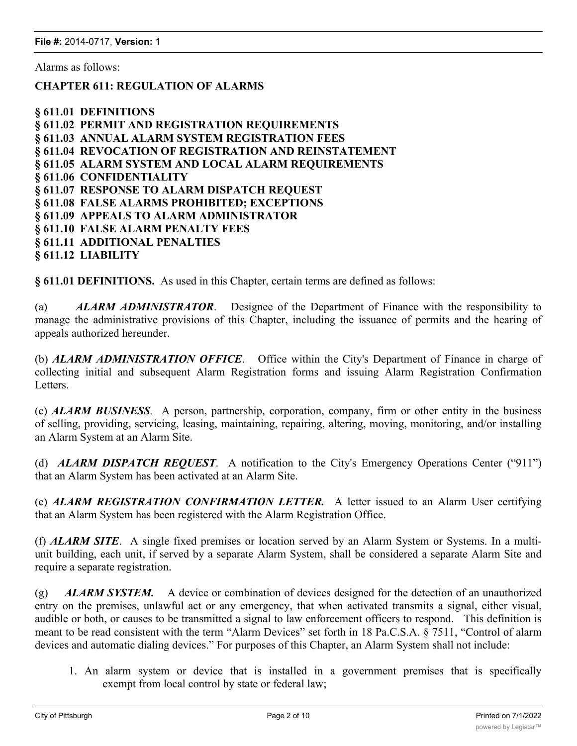Alarms as follows:

## **CHAPTER 611: REGULATION OF ALARMS**

| § 611.01 DEFINITIONS                                  |
|-------------------------------------------------------|
| § 611.02 PERMIT AND REGISTRATION REQUIREMENTS         |
| § 611.03 ANNUAL ALARM SYSTEM REGISTRATION FEES        |
| § 611.04 REVOCATION OF REGISTRATION AND REINSTATEMENT |
| § 611.05 ALARM SYSTEM AND LOCAL ALARM REQUIREMENTS    |
| § 611.06 CONFIDENTIALITY                              |
| § 611.07 RESPONSE TO ALARM DISPATCH REQUEST           |
| § 611.08 FALSE ALARMS PROHIBITED; EXCEPTIONS          |
| § 611.09 APPEALS TO ALARM ADMINISTRATOR               |
| § 611.10 FALSE ALARM PENALTY FEES                     |
| § 611.11 ADDITIONAL PENALTIES                         |
| § 611.12 LIABILITY                                    |

**§ 611.01 DEFINITIONS.** As used in this Chapter, certain terms are defined as follows:

(a) *ALARM ADMINISTRATOR*. Designee of the Department of Finance with the responsibility to manage the administrative provisions of this Chapter, including the issuance of permits and the hearing of appeals authorized hereunder.

(b) *ALARM ADMINISTRATION OFFICE*. Office within the City's Department of Finance in charge of collecting initial and subsequent Alarm Registration forms and issuing Alarm Registration Confirmation Letters.

(c) *ALARM BUSINESS.* A person, partnership, corporation, company, firm or other entity in the business of selling, providing, servicing, leasing, maintaining, repairing, altering, moving, monitoring, and/or installing an Alarm System at an Alarm Site.

(d) *ALARM DISPATCH REQUEST*. A notification to the City's Emergency Operations Center ("911") that an Alarm System has been activated at an Alarm Site.

(e) *ALARM REGISTRATION CONFIRMATION LETTER.* A letter issued to an Alarm User certifying that an Alarm System has been registered with the Alarm Registration Office.

(f) *ALARM SITE*. A single fixed premises or location served by an Alarm System or Systems. In a multiunit building, each unit, if served by a separate Alarm System, shall be considered a separate Alarm Site and require a separate registration.

(g) *ALARM SYSTEM.* A device or combination of devices designed for the detection of an unauthorized entry on the premises, unlawful act or any emergency, that when activated transmits a signal, either visual, audible or both, or causes to be transmitted a signal to law enforcement officers to respond. This definition is meant to be read consistent with the term "Alarm Devices" set forth in 18 Pa.C.S.A. § 7511, "Control of alarm devices and automatic dialing devices." For purposes of this Chapter, an Alarm System shall not include:

1. An alarm system or device that is installed in a government premises that is specifically exempt from local control by state or federal law;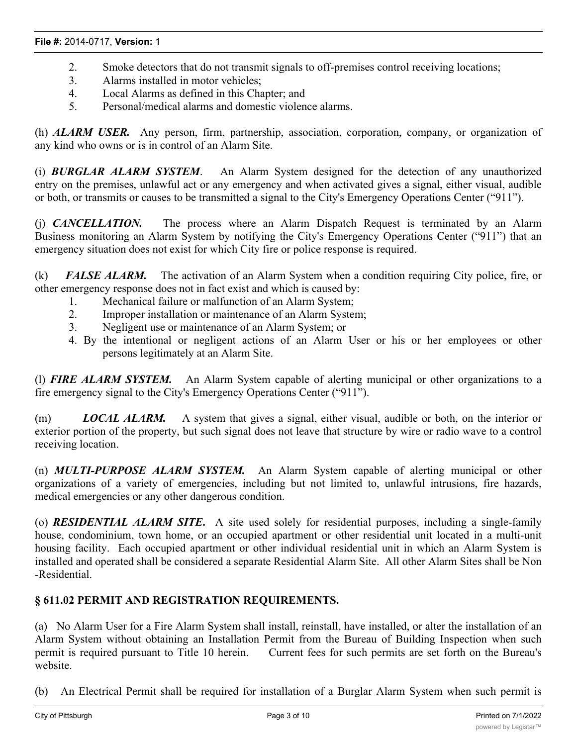- 2. Smoke detectors that do not transmit signals to off-premises control receiving locations;
- 3. Alarms installed in motor vehicles;
- 4. Local Alarms as defined in this Chapter; and
- 5. Personal/medical alarms and domestic violence alarms.

(h) *ALARM USER.* Any person, firm, partnership, association, corporation, company, or organization of any kind who owns or is in control of an Alarm Site.

(i) *BURGLAR ALARM SYSTEM*. An Alarm System designed for the detection of any unauthorized entry on the premises, unlawful act or any emergency and when activated gives a signal, either visual, audible or both, or transmits or causes to be transmitted a signal to the City's Emergency Operations Center ("911").

(j) *CANCELLATION.* The process where an Alarm Dispatch Request is terminated by an Alarm Business monitoring an Alarm System by notifying the City's Emergency Operations Center ("911") that an emergency situation does not exist for which City fire or police response is required.

(k) *FALSE ALARM.* The activation of an Alarm System when a condition requiring City police, fire, or other emergency response does not in fact exist and which is caused by:

- 1. Mechanical failure or malfunction of an Alarm System;
- 2. Improper installation or maintenance of an Alarm System;
- 3. Negligent use or maintenance of an Alarm System; or
- 4. By the intentional or negligent actions of an Alarm User or his or her employees or other persons legitimately at an Alarm Site.

(l) *FIRE ALARM SYSTEM.* An Alarm System capable of alerting municipal or other organizations to a fire emergency signal to the City's Emergency Operations Center ("911").

(m) *LOCAL ALARM.* A system that gives a signal, either visual, audible or both, on the interior or exterior portion of the property, but such signal does not leave that structure by wire or radio wave to a control receiving location.

(n) *MULTI-PURPOSE ALARM SYSTEM.* An Alarm System capable of alerting municipal or other organizations of a variety of emergencies, including but not limited to, unlawful intrusions, fire hazards, medical emergencies or any other dangerous condition.

(o) *RESIDENTIAL ALARM SITE***.** A site used solely for residential purposes, including a single-family house, condominium, town home, or an occupied apartment or other residential unit located in a multi-unit housing facility. Each occupied apartment or other individual residential unit in which an Alarm System is installed and operated shall be considered a separate Residential Alarm Site. All other Alarm Sites shall be Non -Residential.

#### **§ 611.02 PERMIT AND REGISTRATION REQUIREMENTS.**

(a) No Alarm User for a Fire Alarm System shall install, reinstall, have installed, or alter the installation of an Alarm System without obtaining an Installation Permit from the Bureau of Building Inspection when such permit is required pursuant to Title 10 herein. Current fees for such permits are set forth on the Bureau's website.

(b) An Electrical Permit shall be required for installation of a Burglar Alarm System when such permit is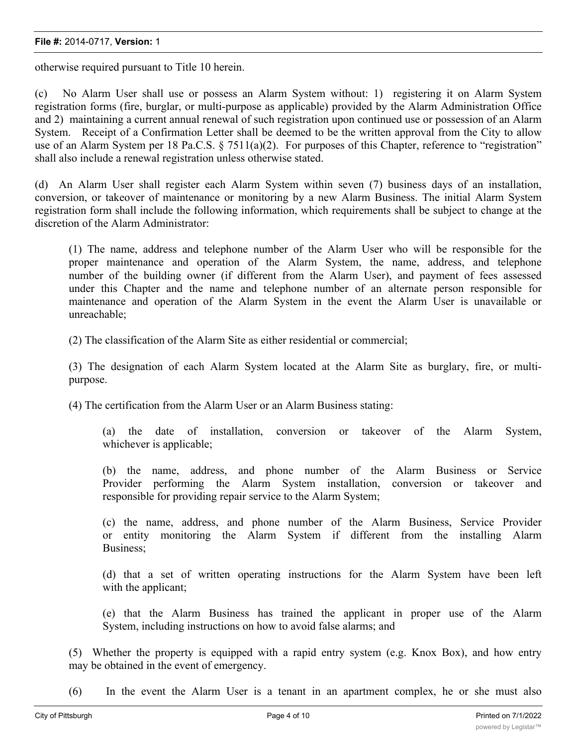#### **File #:** 2014-0717, **Version:** 1

otherwise required pursuant to Title 10 herein.

(c) No Alarm User shall use or possess an Alarm System without: 1) registering it on Alarm System registration forms (fire, burglar, or multi-purpose as applicable) provided by the Alarm Administration Office and 2) maintaining a current annual renewal of such registration upon continued use or possession of an Alarm System. Receipt of a Confirmation Letter shall be deemed to be the written approval from the City to allow use of an Alarm System per 18 Pa.C.S. § 7511(a)(2). For purposes of this Chapter, reference to "registration" shall also include a renewal registration unless otherwise stated.

(d) An Alarm User shall register each Alarm System within seven (7) business days of an installation, conversion, or takeover of maintenance or monitoring by a new Alarm Business. The initial Alarm System registration form shall include the following information, which requirements shall be subject to change at the discretion of the Alarm Administrator:

(1) The name, address and telephone number of the Alarm User who will be responsible for the proper maintenance and operation of the Alarm System, the name, address, and telephone number of the building owner (if different from the Alarm User), and payment of fees assessed under this Chapter and the name and telephone number of an alternate person responsible for maintenance and operation of the Alarm System in the event the Alarm User is unavailable or unreachable;

(2) The classification of the Alarm Site as either residential or commercial;

(3) The designation of each Alarm System located at the Alarm Site as burglary, fire, or multipurpose.

(4) The certification from the Alarm User or an Alarm Business stating:

(a) the date of installation, conversion or takeover of the Alarm System, whichever is applicable;

(b) the name, address, and phone number of the Alarm Business or Service Provider performing the Alarm System installation, conversion or takeover and responsible for providing repair service to the Alarm System;

(c) the name, address, and phone number of the Alarm Business, Service Provider or entity monitoring the Alarm System if different from the installing Alarm Business;

(d) that a set of written operating instructions for the Alarm System have been left with the applicant;

(e) that the Alarm Business has trained the applicant in proper use of the Alarm System, including instructions on how to avoid false alarms; and

(5) Whether the property is equipped with a rapid entry system (e.g. Knox Box), and how entry may be obtained in the event of emergency.

(6) In the event the Alarm User is a tenant in an apartment complex, he or she must also provide the name of a representative of the property owner or property manager who can grant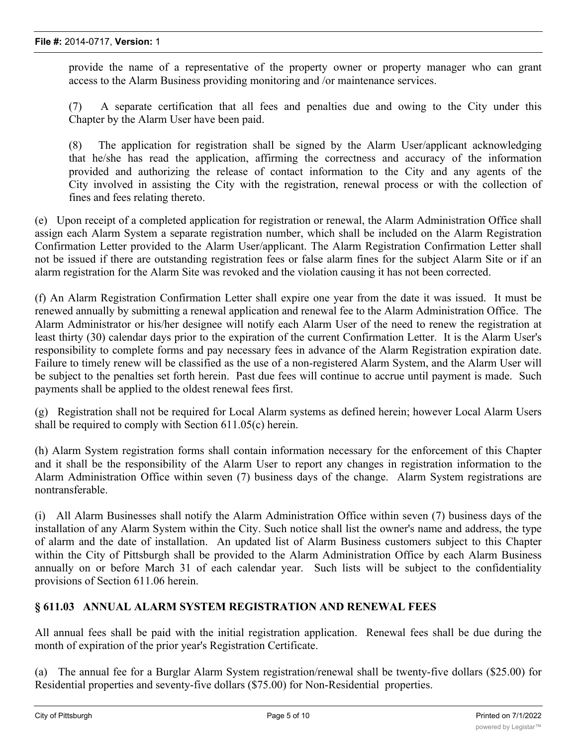provide the name of a representative of the property owner or property manager who can grant access to the Alarm Business providing monitoring and /or maintenance services.

(7) A separate certification that all fees and penalties due and owing to the City under this Chapter by the Alarm User have been paid.

(8) The application for registration shall be signed by the Alarm User/applicant acknowledging that he/she has read the application, affirming the correctness and accuracy of the information provided and authorizing the release of contact information to the City and any agents of the City involved in assisting the City with the registration, renewal process or with the collection of fines and fees relating thereto.

(e) Upon receipt of a completed application for registration or renewal, the Alarm Administration Office shall assign each Alarm System a separate registration number, which shall be included on the Alarm Registration Confirmation Letter provided to the Alarm User/applicant. The Alarm Registration Confirmation Letter shall not be issued if there are outstanding registration fees or false alarm fines for the subject Alarm Site or if an alarm registration for the Alarm Site was revoked and the violation causing it has not been corrected.

(f) An Alarm Registration Confirmation Letter shall expire one year from the date it was issued. It must be renewed annually by submitting a renewal application and renewal fee to the Alarm Administration Office. The Alarm Administrator or his/her designee will notify each Alarm User of the need to renew the registration at least thirty (30) calendar days prior to the expiration of the current Confirmation Letter. It is the Alarm User's responsibility to complete forms and pay necessary fees in advance of the Alarm Registration expiration date. Failure to timely renew will be classified as the use of a non-registered Alarm System, and the Alarm User will be subject to the penalties set forth herein. Past due fees will continue to accrue until payment is made. Such payments shall be applied to the oldest renewal fees first.

(g) Registration shall not be required for Local Alarm systems as defined herein; however Local Alarm Users shall be required to comply with Section 611.05(c) herein.

(h) Alarm System registration forms shall contain information necessary for the enforcement of this Chapter and it shall be the responsibility of the Alarm User to report any changes in registration information to the Alarm Administration Office within seven (7) business days of the change. Alarm System registrations are nontransferable.

(i) All Alarm Businesses shall notify the Alarm Administration Office within seven (7) business days of the installation of any Alarm System within the City. Such notice shall list the owner's name and address, the type of alarm and the date of installation. An updated list of Alarm Business customers subject to this Chapter within the City of Pittsburgh shall be provided to the Alarm Administration Office by each Alarm Business annually on or before March 31 of each calendar year. Such lists will be subject to the confidentiality provisions of Section 611.06 herein.

# **§ 611.03 ANNUAL ALARM SYSTEM REGISTRATION AND RENEWAL FEES**

All annual fees shall be paid with the initial registration application. Renewal fees shall be due during the month of expiration of the prior year's Registration Certificate.

(a) The annual fee for a Burglar Alarm System registration/renewal shall be twenty-five dollars (\$25.00) for Residential properties and seventy-five dollars (\$75.00) for Non-Residential properties.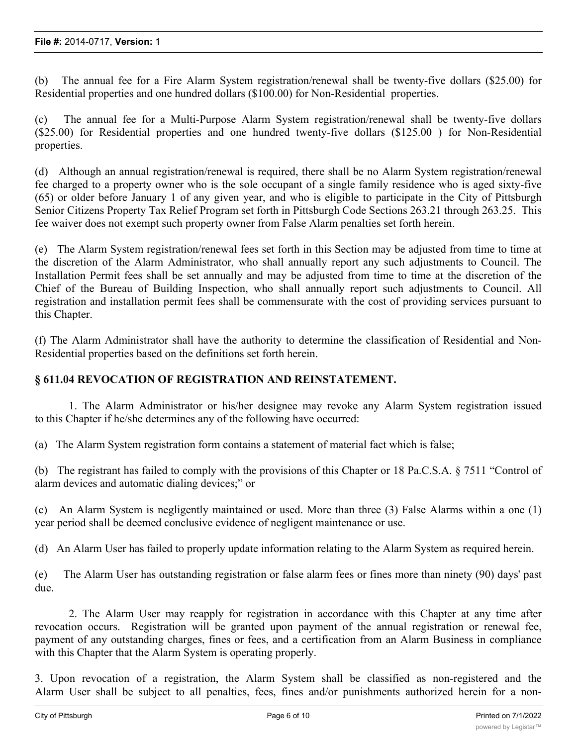(b) The annual fee for a Fire Alarm System registration/renewal shall be twenty-five dollars (\$25.00) for Residential properties and one hundred dollars (\$100.00) for Non-Residential properties.

(c) The annual fee for a Multi-Purpose Alarm System registration/renewal shall be twenty-five dollars (\$25.00) for Residential properties and one hundred twenty-five dollars (\$125.00 ) for Non-Residential properties.

(d) Although an annual registration/renewal is required, there shall be no Alarm System registration/renewal fee charged to a property owner who is the sole occupant of a single family residence who is aged sixty-five (65) or older before January 1 of any given year, and who is eligible to participate in the City of Pittsburgh Senior Citizens Property Tax Relief Program set forth in Pittsburgh Code Sections 263.21 through 263.25. This fee waiver does not exempt such property owner from False Alarm penalties set forth herein.

(e) The Alarm System registration/renewal fees set forth in this Section may be adjusted from time to time at the discretion of the Alarm Administrator, who shall annually report any such adjustments to Council. The Installation Permit fees shall be set annually and may be adjusted from time to time at the discretion of the Chief of the Bureau of Building Inspection, who shall annually report such adjustments to Council. All registration and installation permit fees shall be commensurate with the cost of providing services pursuant to this Chapter.

(f) The Alarm Administrator shall have the authority to determine the classification of Residential and Non-Residential properties based on the definitions set forth herein.

# **§ 611.04 REVOCATION OF REGISTRATION AND REINSTATEMENT.**

1. The Alarm Administrator or his/her designee may revoke any Alarm System registration issued to this Chapter if he/she determines any of the following have occurred:

(a) The Alarm System registration form contains a statement of material fact which is false;

(b) The registrant has failed to comply with the provisions of this Chapter or 18 Pa.C.S.A. § 7511 "Control of alarm devices and automatic dialing devices;" or

(c) An Alarm System is negligently maintained or used. More than three (3) False Alarms within a one (1) year period shall be deemed conclusive evidence of negligent maintenance or use.

(d) An Alarm User has failed to properly update information relating to the Alarm System as required herein.

(e) The Alarm User has outstanding registration or false alarm fees or fines more than ninety (90) days' past due.

2. The Alarm User may reapply for registration in accordance with this Chapter at any time after revocation occurs. Registration will be granted upon payment of the annual registration or renewal fee, payment of any outstanding charges, fines or fees, and a certification from an Alarm Business in compliance with this Chapter that the Alarm System is operating properly.

3. Upon revocation of a registration, the Alarm System shall be classified as non-registered and the Alarm User shall be subject to all penalties, fees, fines and/or punishments authorized herein for a non-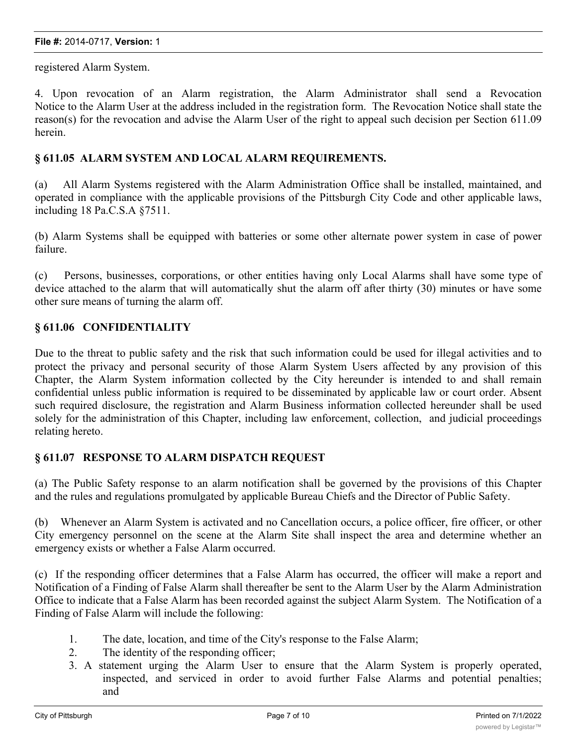#### **File #:** 2014-0717, **Version:** 1

registered Alarm System.

4. Upon revocation of an Alarm registration, the Alarm Administrator shall send a Revocation Notice to the Alarm User at the address included in the registration form. The Revocation Notice shall state the reason(s) for the revocation and advise the Alarm User of the right to appeal such decision per Section 611.09 herein.

## **§ 611.05 ALARM SYSTEM AND LOCAL ALARM REQUIREMENTS.**

(a) All Alarm Systems registered with the Alarm Administration Office shall be installed, maintained, and operated in compliance with the applicable provisions of the Pittsburgh City Code and other applicable laws, including 18 Pa.C.S.A §7511.

(b) Alarm Systems shall be equipped with batteries or some other alternate power system in case of power failure.

(c) Persons, businesses, corporations, or other entities having only Local Alarms shall have some type of device attached to the alarm that will automatically shut the alarm off after thirty (30) minutes or have some other sure means of turning the alarm off.

#### **§ 611.06 CONFIDENTIALITY**

Due to the threat to public safety and the risk that such information could be used for illegal activities and to protect the privacy and personal security of those Alarm System Users affected by any provision of this Chapter, the Alarm System information collected by the City hereunder is intended to and shall remain confidential unless public information is required to be disseminated by applicable law or court order. Absent such required disclosure, the registration and Alarm Business information collected hereunder shall be used solely for the administration of this Chapter, including law enforcement, collection, and judicial proceedings relating hereto.

#### **§ 611.07 RESPONSE TO ALARM DISPATCH REQUEST**

(a) The Public Safety response to an alarm notification shall be governed by the provisions of this Chapter and the rules and regulations promulgated by applicable Bureau Chiefs and the Director of Public Safety.

(b) Whenever an Alarm System is activated and no Cancellation occurs, a police officer, fire officer, or other City emergency personnel on the scene at the Alarm Site shall inspect the area and determine whether an emergency exists or whether a False Alarm occurred.

(c) If the responding officer determines that a False Alarm has occurred, the officer will make a report and Notification of a Finding of False Alarm shall thereafter be sent to the Alarm User by the Alarm Administration Office to indicate that a False Alarm has been recorded against the subject Alarm System. The Notification of a Finding of False Alarm will include the following:

- 1. The date, location, and time of the City's response to the False Alarm;
- 2. The identity of the responding officer;
- 3. A statement urging the Alarm User to ensure that the Alarm System is properly operated, inspected, and serviced in order to avoid further False Alarms and potential penalties; and

 $\mathcal{A}$  . Information regarding the Alarm User's right to appeal the validity of the finding of  $\mathcal{A}$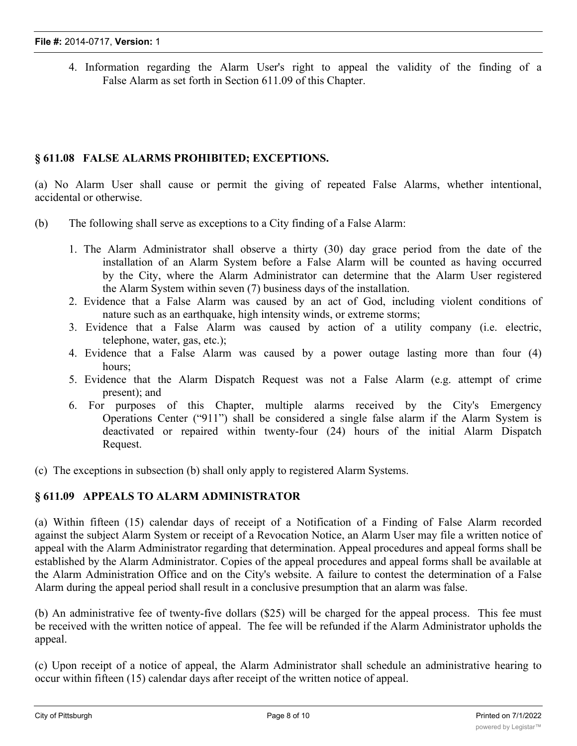4. Information regarding the Alarm User's right to appeal the validity of the finding of a False Alarm as set forth in Section 611.09 of this Chapter.

# **§ 611.08 FALSE ALARMS PROHIBITED; EXCEPTIONS.**

(a) No Alarm User shall cause or permit the giving of repeated False Alarms, whether intentional, accidental or otherwise.

- (b) The following shall serve as exceptions to a City finding of a False Alarm:
	- 1. The Alarm Administrator shall observe a thirty (30) day grace period from the date of the installation of an Alarm System before a False Alarm will be counted as having occurred by the City, where the Alarm Administrator can determine that the Alarm User registered the Alarm System within seven (7) business days of the installation.
	- 2. Evidence that a False Alarm was caused by an act of God, including violent conditions of nature such as an earthquake, high intensity winds, or extreme storms;
	- 3. Evidence that a False Alarm was caused by action of a utility company (i.e. electric, telephone, water, gas, etc.);
	- 4. Evidence that a False Alarm was caused by a power outage lasting more than four (4) hours;
	- 5. Evidence that the Alarm Dispatch Request was not a False Alarm (e.g. attempt of crime present); and
	- 6. For purposes of this Chapter, multiple alarms received by the City's Emergency Operations Center ("911") shall be considered a single false alarm if the Alarm System is deactivated or repaired within twenty-four (24) hours of the initial Alarm Dispatch Request.
- (c) The exceptions in subsection (b) shall only apply to registered Alarm Systems.

# **§ 611.09 APPEALS TO ALARM ADMINISTRATOR**

(a) Within fifteen (15) calendar days of receipt of a Notification of a Finding of False Alarm recorded against the subject Alarm System or receipt of a Revocation Notice, an Alarm User may file a written notice of appeal with the Alarm Administrator regarding that determination. Appeal procedures and appeal forms shall be established by the Alarm Administrator. Copies of the appeal procedures and appeal forms shall be available at the Alarm Administration Office and on the City's website. A failure to contest the determination of a False Alarm during the appeal period shall result in a conclusive presumption that an alarm was false.

(b) An administrative fee of twenty-five dollars (\$25) will be charged for the appeal process. This fee must be received with the written notice of appeal. The fee will be refunded if the Alarm Administrator upholds the appeal.

(c) Upon receipt of a notice of appeal, the Alarm Administrator shall schedule an administrative hearing to occur within fifteen (15) calendar days after receipt of the written notice of appeal.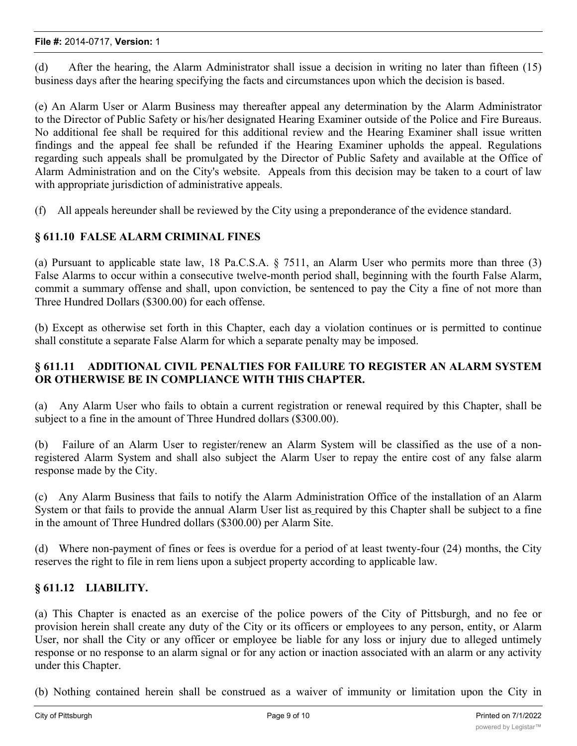#### **File #:** 2014-0717, **Version:** 1

(d) After the hearing, the Alarm Administrator shall issue a decision in writing no later than fifteen (15) business days after the hearing specifying the facts and circumstances upon which the decision is based.

(e) An Alarm User or Alarm Business may thereafter appeal any determination by the Alarm Administrator to the Director of Public Safety or his/her designated Hearing Examiner outside of the Police and Fire Bureaus. No additional fee shall be required for this additional review and the Hearing Examiner shall issue written findings and the appeal fee shall be refunded if the Hearing Examiner upholds the appeal. Regulations regarding such appeals shall be promulgated by the Director of Public Safety and available at the Office of Alarm Administration and on the City's website. Appeals from this decision may be taken to a court of law with appropriate jurisdiction of administrative appeals.

(f) All appeals hereunder shall be reviewed by the City using a preponderance of the evidence standard.

# **§ 611.10 FALSE ALARM CRIMINAL FINES**

(a) Pursuant to applicable state law, 18 Pa.C.S.A. § 7511, an Alarm User who permits more than three (3) False Alarms to occur within a consecutive twelve-month period shall, beginning with the fourth False Alarm, commit a summary offense and shall, upon conviction, be sentenced to pay the City a fine of not more than Three Hundred Dollars (\$300.00) for each offense.

(b) Except as otherwise set forth in this Chapter, each day a violation continues or is permitted to continue shall constitute a separate False Alarm for which a separate penalty may be imposed.

# **§ 611.11 ADDITIONAL CIVIL PENALTIES FOR FAILURE TO REGISTER AN ALARM SYSTEM OR OTHERWISE BE IN COMPLIANCE WITH THIS CHAPTER.**

(a) Any Alarm User who fails to obtain a current registration or renewal required by this Chapter, shall be subject to a fine in the amount of Three Hundred dollars (\$300.00).

(b) Failure of an Alarm User to register/renew an Alarm System will be classified as the use of a nonregistered Alarm System and shall also subject the Alarm User to repay the entire cost of any false alarm response made by the City.

(c) Any Alarm Business that fails to notify the Alarm Administration Office of the installation of an Alarm System or that fails to provide the annual Alarm User list as required by this Chapter shall be subject to a fine in the amount of Three Hundred dollars (\$300.00) per Alarm Site.

(d) Where non-payment of fines or fees is overdue for a period of at least twenty-four (24) months, the City reserves the right to file in rem liens upon a subject property according to applicable law.

# **§ 611.12 LIABILITY.**

(a) This Chapter is enacted as an exercise of the police powers of the City of Pittsburgh, and no fee or provision herein shall create any duty of the City or its officers or employees to any person, entity, or Alarm User, nor shall the City or any officer or employee be liable for any loss or injury due to alleged untimely response or no response to an alarm signal or for any action or inaction associated with an alarm or any activity under this Chapter.

(b) Nothing contained herein shall be construed as a waiver of immunity or limitation upon the City in